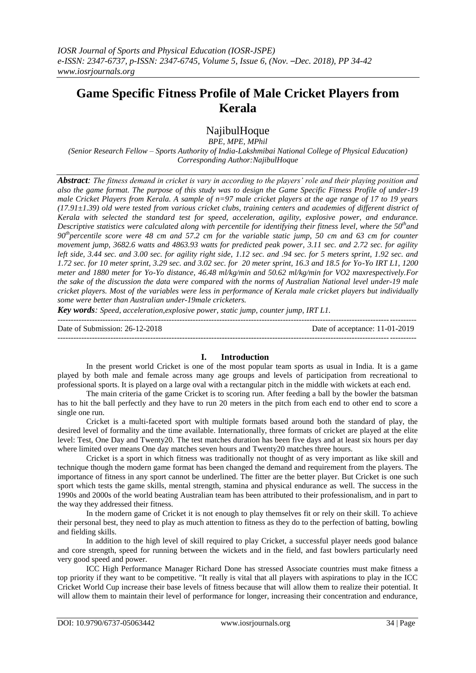# **Game Specific Fitness Profile of Male Cricket Players from Kerala**

## NajibulHoque

*BPE, MPE, MPhil (Senior Research Fellow – Sports Authority of India-Lakshmibai National College of Physical Education) Corresponding Author:NajibulHoque*

*Abstract: The fitness demand in cricket is vary in according to the players' role and their playing position and also the game format. The purpose of this study was to design the Game Specific Fitness Profile of under-19 male Cricket Players from Kerala. A sample of n=97 male cricket players at the age range of 17 to 19 years (17.91±1.39) old were tested from various cricket clubs, training centers and academies of different district of Kerala with selected the standard test for speed, acceleration, agility, explosive power, and endurance. Descriptive statistics were calculated along with percentile for identifying their fitness level, where the 50thand 90 thpercentile score were 48 cm and 57.2 cm for the variable static jump, 50 cm and 63 cm for counter movement jump, 3682.6 watts and 4863.93 watts for predicted peak power, 3.11 sec. and 2.72 sec. for agility left side, 3.44 sec. and 3.00 sec. for agility right side, 1.12 sec. and .94 sec. for 5 meters sprint, 1.92 sec. and 1.72 sec. for 10 meter sprint, 3.29 sec. and 3.02 sec. for 20 meter sprint, 16.3 and 18.5 for Yo-Yo IRT L1, 1200 meter and 1880 meter for Yo-Yo distance, 46.48 ml/kg/min and 50.62 ml/kg/min for VO2 maxrespectively.For the sake of the discussion the data were compared with the norms of Australian National level under-19 male cricket players. Most of the variables were less in performance of Kerala male cricket players but individually some were better than Australian under-19male cricketers.*

*Key words: Speed, acceleration,explosive power, static jump, counter jump, IRT L1.* ---------------------------------------------------------------------------------------------------------------------------------------

Date of Submission: 26-12-2018 Date of acceptance: 11-01-2019 ---------------------------------------------------------------------------------------------------------------------------------------

### **I. Introduction**

In the present world Cricket is one of the most popular team sports as usual in India. It is a game played by both male and female across many age groups and levels of participation from recreational to professional sports. It is played on a large oval with a rectangular pitch in the middle with wickets at each end.

The main criteria of the game Cricket is to scoring run. After feeding a ball by the bowler the batsman has to hit the ball perfectly and they have to run 20 meters in the pitch from each end to other end to score a single one run.

Cricket is a multi-faceted sport with multiple formats based around both the standard of play, the desired level of formality and the time available. Internationally, three formats of cricket are played at the elite level: Test, One Day and Twenty20. The test matches duration has been five days and at least six hours per day where limited over means One day matches seven hours and Twenty20 matches three hours.

Cricket is a sport in which fitness was traditionally not thought of as very important as like skill and technique though the modern game format has been changed the demand and requirement from the players. The importance of fitness in any sport cannot be underlined. The fitter are the better player. But Cricket is one such sport which tests the game skills, mental strength, stamina and physical endurance as well. The success in the 1990s and 2000s of the world beating Australian team has been attributed to their professionalism, and in part to the way they addressed their fitness.

In the modern game of Cricket it is not enough to play themselves fit or rely on their skill. To achieve their personal best, they need to play as much attention to fitness as they do to the perfection of batting, bowling and fielding skills.

In addition to the high level of skill required to play Cricket, a successful player needs good balance and core strength, speed for running between the wickets and in the field, and fast bowlers particularly need very good speed and power.

ICC High Performance Manager Richard Done has stressed Associate countries must make fitness a top priority if they want to be competitive. "It really is vital that all players with aspirations to play in the ICC Cricket World Cup increase their base levels of fitness because that will allow them to realize their potential. It will allow them to maintain their level of performance for longer, increasing their concentration and endurance,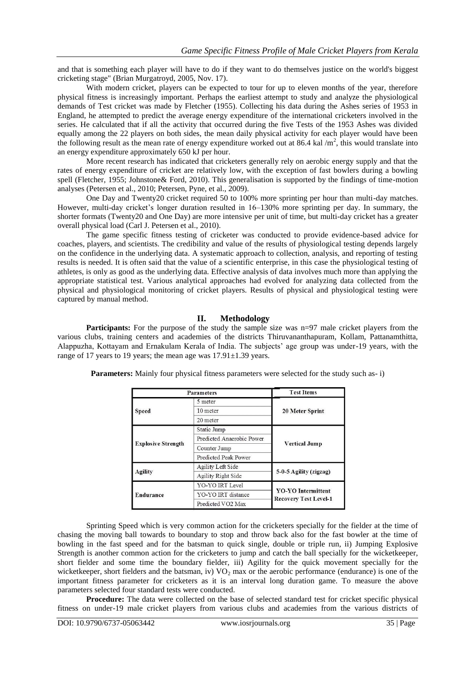and that is something each player will have to do if they want to do themselves justice on the world's biggest cricketing stage" (Brian Murgatroyd, 2005, Nov. 17).

With modern cricket, players can be expected to tour for up to eleven months of the year, therefore physical fitness is increasingly important. Perhaps the earliest attempt to study and analyze the physiological demands of Test cricket was made by Fletcher (1955). Collecting his data during the Ashes series of 1953 in England, he attempted to predict the average energy expenditure of the international cricketers involved in the series. He calculated that if all the activity that occurred during the five Tests of the 1953 Ashes was divided equally among the 22 players on both sides, the mean daily physical activity for each player would have been the following result as the mean rate of energy expenditure worked out at 86.4 kal  $/m<sup>2</sup>$ , this would translate into an energy expenditure approximately 650 kJ per hour.

More recent research has indicated that cricketers generally rely on aerobic energy supply and that the rates of energy expenditure of cricket are relatively low, with the exception of fast bowlers during a bowling spell (Fletcher, 1955; Johnstone& Ford, 2010). This generalisation is supported by the findings of time-motion analyses (Petersen et al., 2010; Petersen, Pyne, et al., 2009).

One Day and Twenty20 cricket required 50 to 100% more sprinting per hour than multi-day matches. However, multi-day cricket's longer duration resulted in 16–130% more sprinting per day. In summary, the shorter formats (Twenty20 and One Day) are more intensive per unit of time, but multi-day cricket has a greater overall physical load (Carl J. Petersen et al., 2010).

The game specific fitness testing of cricketer was conducted to provide evidence-based advice for coaches, players, and scientists. The credibility and value of the results of physiological testing depends largely on the confidence in the underlying data. A systematic approach to collection, analysis, and reporting of testing results is needed. It is often said that the value of a scientific enterprise, in this case the physiological testing of athletes, is only as good as the underlying data. Effective analysis of data involves much more than applying the appropriate statistical test. Various analytical approaches had evolved for analyzing data collected from the physical and physiological monitoring of cricket players. Results of physical and physiological testing were captured by manual method.

### **II. Methodology**

**Participants:** For the purpose of the study the sample size was n=97 male cricket players from the various clubs, training centers and academies of the districts Thiruvananthapuram, Kollam, Pattanamthitta, Alappuzha, Kottayam and Ernakulam Kerala of India. The subjects' age group was under-19 years, with the range of 17 years to 19 years; the mean age was  $17.91 \pm 1.39$  years.

| <b>Parameters</b>         | <b>Test Items</b>         |                                                           |  |  |  |
|---------------------------|---------------------------|-----------------------------------------------------------|--|--|--|
|                           | 5 meter                   |                                                           |  |  |  |
| <b>Speed</b>              | 10 meter                  | 20 Meter Sprint                                           |  |  |  |
|                           | 20 meter                  |                                                           |  |  |  |
|                           | Static Jump               |                                                           |  |  |  |
|                           | Predicted Anaerobic Power |                                                           |  |  |  |
| <b>Explosive Strength</b> | Counter Jump              | <b>Vertical Jump</b>                                      |  |  |  |
|                           | Predicted Peak Power      |                                                           |  |  |  |
| Agility                   | Agility Left Side         |                                                           |  |  |  |
|                           | Agility Right Side        | 5-0-5 Agility (zigzag)                                    |  |  |  |
|                           | YO-YO IRT Level           |                                                           |  |  |  |
| Endurance                 | YO-YO IRT distance        | <b>YO-YO Intermittent</b><br><b>Recovery Test Level-1</b> |  |  |  |
|                           | Predicted VO2 Max         |                                                           |  |  |  |

**Parameters:** Mainly four physical fitness parameters were selected for the study such as- i)

Sprinting Speed which is very common action for the cricketers specially for the fielder at the time of chasing the moving ball towards to boundary to stop and throw back also for the fast bowler at the time of bowling in the fast speed and for the batsman to quick single, double or triple run, ii) Jumping Explosive Strength is another common action for the cricketers to jump and catch the ball specially for the wicketkeeper, short fielder and some time the boundary fielder, iii) Agility for the quick movement specially for the wicketkeeper, short fielders and the batsman, iv)  $VO<sub>2</sub>$  max or the aerobic performance (endurance) is one of the important fitness parameter for cricketers as it is an interval long duration game. To measure the above parameters selected four standard tests were conducted.

**Procedure:** The data were collected on the base of selected standard test for cricket specific physical fitness on under-19 male cricket players from various clubs and academies from the various districts of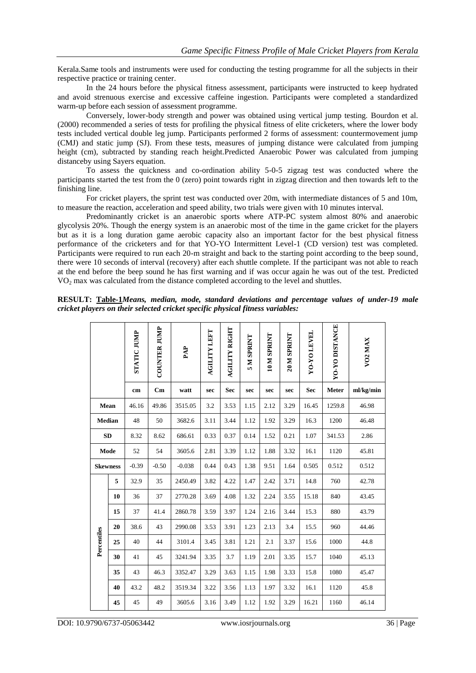Kerala.Same tools and instruments were used for conducting the testing programme for all the subjects in their respective practice or training center.

In the 24 hours before the physical fitness assessment, participants were instructed to keep hydrated and avoid strenuous exercise and excessive caffeine ingestion. Participants were completed a standardized warm-up before each session of assessment programme.

Conversely, lower-body strength and power was obtained using vertical jump testing. Bourdon et al. (2000) recommended a series of tests for profiling the physical fitness of elite cricketers, where the lower body tests included vertical double leg jump. Participants performed 2 forms of assessment: countermovement jump (CMJ) and static jump (SJ). From these tests, measures of jumping distance were calculated from jumping height (cm), subtracted by standing reach height.Predicted Anaerobic Power was calculated from jumping distanceby using Sayers equation.

To assess the quickness and co-ordination ability 5-0-5 zigzag test was conducted where the participants started the test from the 0 (zero) point towards right in zigzag direction and then towards left to the finishing line.

For cricket players, the sprint test was conducted over 20m, with intermediate distances of 5 and 10m, to measure the reaction, acceleration and speed ability, two trials were given with 10 minutes interval.

Predominantly cricket is an anaerobic sports where ATP-PC system almost 80% and anaerobic glycolysis 20%. Though the energy system is an anaerobic most of the time in the game cricket for the players but as it is a long duration game aerobic capacity also an important factor for the best physical fitness performance of the cricketers and for that YO-YO Intermittent Level-1 (CD version) test was completed. Participants were required to run each 20-m straight and back to the starting point according to the beep sound, there were 10 seconds of interval (recovery) after each shuttle complete. If the participant was not able to reach at the end before the beep sound he has first warning and if was occur again he was out of the test. Predicted VO<sub>2</sub> max was calculated from the distance completed according to the level and shuttles.

**RESULT: Table-1***Means, median, mode, standard deviations and percentage values of under-19 male cricket players on their selected cricket specific physical fitness variables:*

|                 |    | <b>STATIC JUMP</b> | <b>COUNTER JUMP</b> | PAP      | <b>AGILITY LEFT</b> | AGILITY RIGHT | <b>SMSPRINT</b> | 10 M SPRINT | 20 M SPRINT | <b>YO-YO LEVEL</b> | <b>YO-YO DISTANCE</b> | VO <sub>2</sub> MAX |
|-----------------|----|--------------------|---------------------|----------|---------------------|---------------|-----------------|-------------|-------------|--------------------|-----------------------|---------------------|
|                 |    | cm                 | Cm                  | watt     | sec                 | <b>Sec</b>    | sec             | sec         | sec         | <b>Sec</b>         | Meter                 | ml/kg/min           |
| Mean            |    | 46.16              | 49.86               | 3515.05  | 3.2                 | 3.53          | 1.15            | 2.12        | 3.29        | 16.45              | 1259.8                | 46.98               |
| Median          |    | 48                 | 50                  | 3682.6   | 3.11                | 3.44          | 1.12            | 1.92        | 3.29        | 16.3               | 1200                  | 46.48               |
| SD              |    | 8.32               | 8.62                | 686.61   | 0.33                | 0.37          | 0.14            | 1.52        | 0.21        | 1.07               | 341.53                | 2.86                |
| Mode            |    | 52                 | 54                  | 3605.6   | 2.81                | 3.39          | 1.12            | 1.88        | 3.32        | 16.1               | 1120                  | 45.81               |
| <b>Skewness</b> |    | $-0.39$            | $-0.50$             | $-0.038$ | 0.44                | 0.43          | 1.38            | 9.51        | 1.64        | 0.505              | 0.512                 | 0.512               |
|                 | 5  | 32.9               | 35                  | 2450.49  | 3.82                | 4.22          | 1.47            | 2.42        | 3.71        | 14.8               | 760                   | 42.78               |
|                 | 10 | 36                 | 37                  | 2770.28  | 3.69                | 4.08          | 1.32            | 2.24        | 3.55        | 15.18              | 840                   | 43.45               |
|                 | 15 | 37                 | 41.4                | 2860.78  | 3.59                | 3.97          | 1.24            | 2.16        | 3.44        | 15.3               | 880                   | 43.79               |
|                 | 20 | 38.6               | 43                  | 2990.08  | 3.53                | 3.91          | 1.23            | 2.13        | 3.4         | 15.5               | 960                   | 44.46               |
| Percentiles     | 25 | 40                 | 44                  | 3101.4   | 3.45                | 3.81          | 1.21            | 2.1         | 3.37        | 15.6               | 1000                  | 44.8                |
|                 | 30 | 41                 | 45                  | 3241.94  | 3.35                | 3.7           | 1.19            | 2.01        | 3.35        | 15.7               | 1040                  | 45.13               |
|                 | 35 | 43                 | 46.3                | 3352.47  | 3.29                | 3.63          | 1.15            | 1.98        | 3.33        | 15.8               | 1080                  | 45.47               |
|                 | 40 | 43.2               | 48.2                | 3519.34  | 3.22                | 3.56          | 1.13            | 1.97        | 3.32        | 16.1               | 1120                  | 45.8                |
|                 | 45 | 45                 | 49                  | 3605.6   | 3.16                | 3.49          | 1.12            | 1.92        | 3.29        | 16.21              | 1160                  | 46.14               |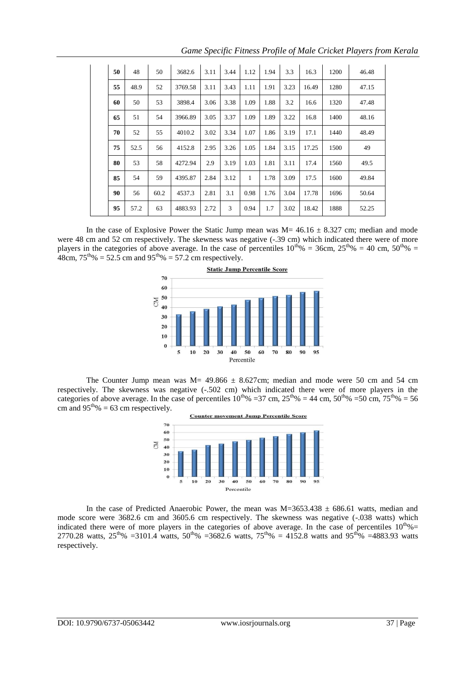| 50 | 48   | 50   | 3682.6  | 3.11 | 3.44 | 1.12 | 1.94 | 3.3  | 16.3  | 1200 | 46.48 |
|----|------|------|---------|------|------|------|------|------|-------|------|-------|
| 55 | 48.9 | 52   | 3769.58 | 3.11 | 3.43 | 1.11 | 1.91 | 3.23 | 16.49 | 1280 | 47.15 |
| 60 | 50   | 53   | 3898.4  | 3.06 | 3.38 | 1.09 | 1.88 | 3.2  | 16.6  | 1320 | 47.48 |
| 65 | 51   | 54   | 3966.89 | 3.05 | 3.37 | 1.09 | 1.89 | 3.22 | 16.8  | 1400 | 48.16 |
| 70 | 52   | 55   | 4010.2  | 3.02 | 3.34 | 1.07 | 1.86 | 3.19 | 17.1  | 1440 | 48.49 |
| 75 | 52.5 | 56   | 4152.8  | 2.95 | 3.26 | 1.05 | 1.84 | 3.15 | 17.25 | 1500 | 49    |
| 80 | 53   | 58   | 4272.94 | 2.9  | 3.19 | 1.03 | 1.81 | 3.11 | 17.4  | 1560 | 49.5  |
| 85 | 54   | 59   | 4395.87 | 2.84 | 3.12 | 1    | 1.78 | 3.09 | 17.5  | 1600 | 49.84 |
| 90 | 56   | 60.2 | 4537.3  | 2.81 | 3.1  | 0.98 | 1.76 | 3.04 | 17.78 | 1696 | 50.64 |
| 95 | 57.2 | 63   | 4883.93 | 2.72 | 3    | 0.94 | 1.7  | 3.02 | 18.42 | 1888 | 52.25 |

*Game Specific Fitness Profile of Male Cricket Players from Kerala*

In the case of Explosive Power the Static Jump mean was  $M= 46.16 \pm 8.327$  cm; median and mode were 48 cm and 52 cm respectively. The skewness was negative  $(-.39 \text{ cm})$  which indicated there were of more players in the categories of above average. In the case of percentiles  $10^{th}\% = 36$ cm,  $25^{th}\% = 40$  cm,  $50^{th}\% =$ 48cm,  $75^{th}\% = 52.5$  cm and  $95^{th}\% = 57.2$  cm respectively.



The Counter Jump mean was  $M = 49.866 \pm 8.627$ cm; median and mode were 50 cm and 54 cm respectively. The skewness was negative (-.502 cm) which indicated there were of more players in the categories of above average. In the case of percentiles  $10^{th}\% = 37$  cm,  $25^{th}\% = 44$  cm,  $50^{th}\% = 50$  cm,  $75^{th}\% = 56$ cm and  $95<sup>th</sup>% = 63$  cm respectively.



In the case of Predicted Anaerobic Power, the mean was  $M=3653.438 \pm 686.61$  watts, median and mode score were 3682.6 cm and 3605.6 cm respectively. The skewness was negative (-.038 watts) which indicated there were of more players in the categories of above average. In the case of percentiles  $10^{th}\% =$ 2770.28 watts,  $25^{th}\%$  =3101.4 watts,  $50^{th}\%$  =3682.6 watts,  $75^{th}\%$  = 4152.8 watts and 95<sup>th</sup>% =4883.93 watts respectively.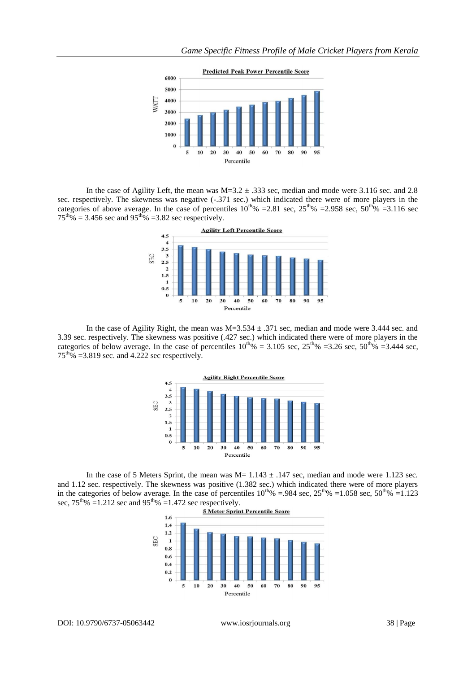

In the case of Agility Left, the mean was  $M=3.2 \pm .333$  sec, median and mode were 3.116 sec. and 2.8 sec. respectively. The skewness was negative (-.371 sec.) which indicated there were of more players in the categories of above average. In the case of percentiles  $10^{th}\% = 2.81$  sec,  $25^{th}\% = 2.958$  sec,  $50^{th}\% = 3.116$  sec  $75<sup>th</sup>% = 3.456$  sec and  $95<sup>th</sup>% = 3.82$  sec respectively.



In the case of Agility Right, the mean was  $M=3.534 \pm .371$  sec, median and mode were 3.444 sec. and 3.39 sec. respectively. The skewness was positive (.427 sec.) which indicated there were of more players in the categories of below average. In the case of percentiles  $10^{th}\% = 3.105$  sec,  $25^{th}\% = 3.26$  sec,  $50^{th}\% = 3.444$  sec,  $75<sup>th</sup>% = 3.819$  sec. and 4.222 sec respectively.



In the case of 5 Meters Sprint, the mean was  $M= 1.143 \pm .147$  sec, median and mode were 1.123 sec. and 1.12 sec. respectively. The skewness was positive (1.382 sec.) which indicated there were of more players in the categories of below average. In the case of percentiles  $10^{th}\% = .984$  sec,  $25^{th}\% = 1.058$  sec,  $50^{th}\% = 1.123$ sec,  $75^{\text{th}}\% = 1.212$  sec and  $95^{\text{th}}\% = 1.472$  sec respectively.

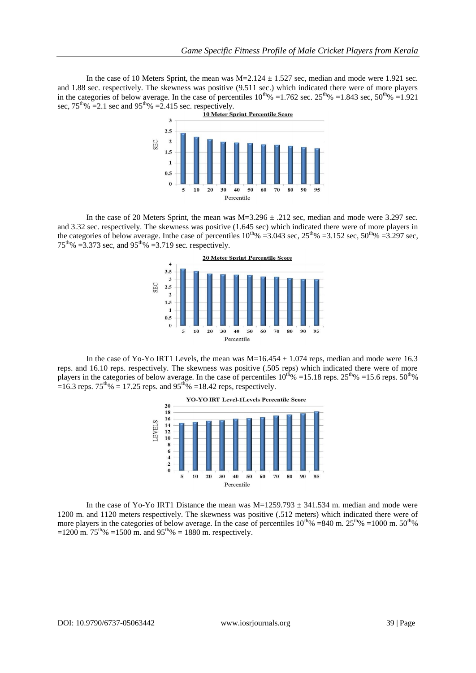In the case of 10 Meters Sprint, the mean was  $M=2.124 \pm 1.527$  sec, median and mode were 1.921 sec. and 1.88 sec. respectively. The skewness was positive (9.511 sec.) which indicated there were of more players in the categories of below average. In the case of percentiles  $10^{th}\% = 1.762$  sec.  $25^{th}\% = 1.843$  sec,  $50^{th}\% = 1.921$ sec,  $75^{\text{th}}\%$  =2.1 sec and  $95^{\text{th}}\%$  =2.415 sec. respectively.<br>10 Meter Sprint Percentile Score



In the case of 20 Meters Sprint, the mean was  $M=3.296 \pm .212$  sec, median and mode were 3.297 sec. and 3.32 sec. respectively. The skewness was positive (1.645 sec) which indicated there were of more players in the categories of below average. In the case of percentiles  $10^{th}\% = 3.043$  sec,  $25^{th}\% = 3.152$  sec,  $50^{th}\% = 3.297$  sec,  $75^{\text{th}}\%$  =3.373 sec, and 95<sup>th</sup>% =3.719 sec. respectively.



In the case of Yo-Yo IRT1 Levels, the mean was  $M=16.454 \pm 1.074$  reps, median and mode were 16.3 reps. and 16.10 reps. respectively. The skewness was positive (.505 reps) which indicated there were of more players in the categories of below average. In the case of percentiles  $10^{th}\% = 15.18$  reps.  $25^{th}\% = 15.6$  reps.  $50^{th}\%$ =16.3 reps.  $75^{th}\%$  = 17.25 reps. and 95<sup>th</sup>% =18.42 reps, respectively.



In the case of Yo-Yo IRT1 Distance the mean was  $M=1259.793 \pm 341.534$  m. median and mode were 1200 m. and 1120 meters respectively. The skewness was positive (.512 meters) which indicated there were of more players in the categories of below average. In the case of percentiles  $10^{th}\% = 840$  m.  $25^{th}\% = 1000$  m.  $50^{th}\%$ =1200 m. 75<sup>th</sup>% =1500 m. and 95<sup>th</sup>% = 1880 m. respectively.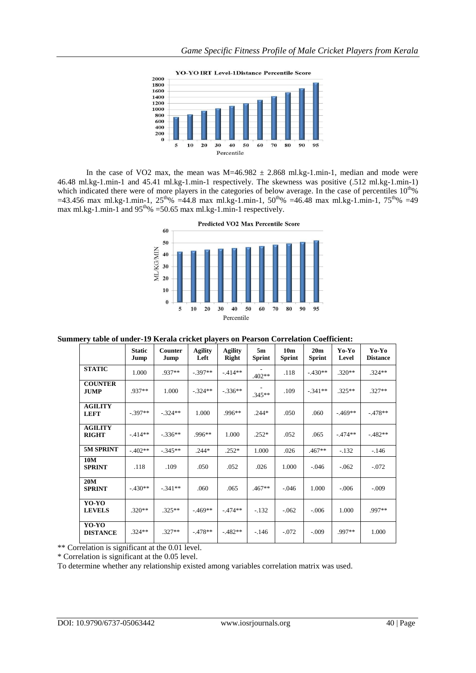



In the case of VO2 max, the mean was  $M=46.982 \pm 2.868$  ml.kg-1.min-1, median and mode were 46.48 ml.kg-1.min-1 and 45.41 ml.kg-1.min-1 respectively. The skewness was positive (.512 ml.kg-1.min-1) which indicated there were of more players in the categories of below average. In the case of percentiles  $10^{th}\%$  $=43.456$  max ml.kg-1.min-1,  $25<sup>th</sup>% = 44.8$  max ml.kg-1.min-1,  $50<sup>th</sup>% = 46.48$  max ml.kg-1.min-1,  $75<sup>th</sup>% = 49$ max ml.kg-1.min-1 and  $95^{th}\%$  =50.65 max ml.kg-1.min-1 respectively.



**Summery table of under-19 Kerala cricket players on Pearson Correlation Coefficient:**

|                                | <b>Static</b><br>Jump | <b>Counter</b><br>Jump | <b>Agility</b><br>Left | <b>Agility</b><br><b>Right</b> | 5m<br><b>Sprint</b> | 10 <sub>m</sub><br><b>Sprint</b> | 20 <sub>m</sub><br><b>Sprint</b> | Yo-Yo<br>Level | Yo-Yo<br><b>Distance</b> |
|--------------------------------|-----------------------|------------------------|------------------------|--------------------------------|---------------------|----------------------------------|----------------------------------|----------------|--------------------------|
| <b>STATIC</b>                  | 1.000                 | .937**                 | $-.397**$              | $-.414**$                      | $.402**$            | .118                             | $-.430**$                        | $.320**$       | $.324**$                 |
| <b>COUNTER</b><br><b>JUMP</b>  | .937**                | 1.000                  | $-.324**$              | $-.336**$                      | $.345**$            | .109                             | $-.341**$                        | $.325**$       | $.327**$                 |
| <b>AGILITY</b><br><b>LEFT</b>  | $-.397**$             | $-.324**$              | 1.000                  | $.996**$                       | $.244*$             | .050                             | .060                             | $-.469**$      | $-478**$                 |
| <b>AGILITY</b><br><b>RIGHT</b> | $-414**$              | $-336**$               | $.996**$               | 1.000                          | $.252*$             | .052                             | .065                             | $-.474**$      | $-482**$                 |
| 5M SPRINT                      | $-.402**$             | $-.345**$              | $.244*$                | $.252*$                        | 1.000               | .026                             | $.467**$                         | $-.132$        | $-146$                   |
| 10M<br><b>SPRINT</b>           | .118                  | .109                   | .050                   | .052                           | .026                | 1.000                            | $-.046$                          | $-.062$        | $-.072$                  |
| 20M<br><b>SPRINT</b>           | $-.430**$             | $-.341**$              | .060                   | .065                           | $.467**$            | $-.046$                          | 1.000                            | $-.006$        | $-.009$                  |
| YO-YO<br><b>LEVELS</b>         | $.320**$              | $.325**$               | $-469**$               | $-.474**$                      | $-.132$             | $-.062$                          | $-.006$                          | 1.000          | .997**                   |
| YO-YO<br><b>DISTANCE</b>       | $.324**$              | $.327**$               | $-478**$               | $-482**$                       | $-.146$             | $-.072$                          | $-.009$                          | $.997**$       | 1.000                    |

\*\* Correlation is significant at the 0.01 level.

\* Correlation is significant at the 0.05 level.

To determine whether any relationship existed among variables correlation matrix was used.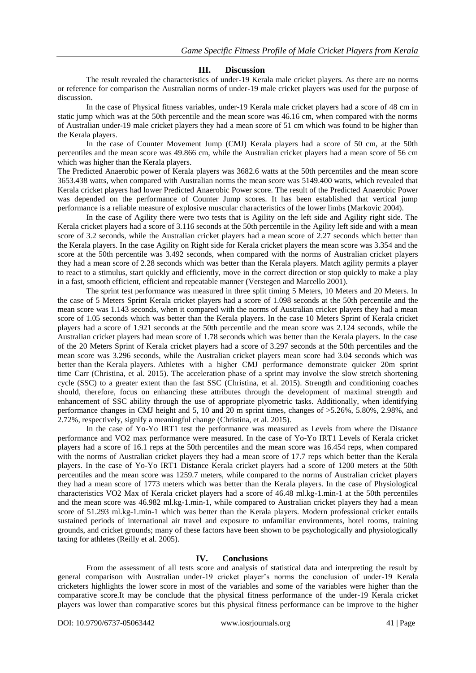#### **III. Discussion**

The result revealed the characteristics of under-19 Kerala male cricket players. As there are no norms or reference for comparison the Australian norms of under-19 male cricket players was used for the purpose of discussion.

In the case of Physical fitness variables, under-19 Kerala male cricket players had a score of 48 cm in static jump which was at the 50th percentile and the mean score was 46.16 cm, when compared with the norms of Australian under-19 male cricket players they had a mean score of 51 cm which was found to be higher than the Kerala players.

In the case of Counter Movement Jump (CMJ) Kerala players had a score of 50 cm, at the 50th percentiles and the mean score was 49.866 cm, while the Australian cricket players had a mean score of 56 cm which was higher than the Kerala players.

The Predicted Anaerobic power of Kerala players was 3682.6 watts at the 50th percentiles and the mean score 3653.438 watts, when compared with Australian norms the mean score was 5149.400 watts, which revealed that Kerala cricket players had lower Predicted Anaerobic Power score. The result of the Predicted Anaerobic Power was depended on the performance of Counter Jump scores. It has been established that vertical jump performance is a reliable measure of explosive muscular characteristics of the lower limbs (Markovic 2004).

In the case of Agility there were two tests that is Agility on the left side and Agility right side. The Kerala cricket players had a score of 3.116 seconds at the 50th percentile in the Agility left side and with a mean score of 3.2 seconds, while the Australian cricket players had a mean score of 2.27 seconds which better than the Kerala players. In the case Agility on Right side for Kerala cricket players the mean score was 3.354 and the score at the 50th percentile was 3.492 seconds, when compared with the norms of Australian cricket players they had a mean score of 2.28 seconds which was better than the Kerala players. Match agility permits a player to react to a stimulus, start quickly and efficiently, move in the correct direction or stop quickly to make a play in a fast, smooth efficient, efficient and repeatable manner (Verstegen and Marcello 2001).

The sprint test performance was measured in three split timing 5 Meters, 10 Meters and 20 Meters. In the case of 5 Meters Sprint Kerala cricket players had a score of 1.098 seconds at the 50th percentile and the mean score was 1.143 seconds, when it compared with the norms of Australian cricket players they had a mean score of 1.05 seconds which was better than the Kerala players. In the case 10 Meters Sprint of Kerala cricket players had a score of 1.921 seconds at the 50th percentile and the mean score was 2.124 seconds, while the Australian cricket players had mean score of 1.78 seconds which was better than the Kerala players. In the case of the 20 Meters Sprint of Kerala cricket players had a score of 3.297 seconds at the 50th percentiles and the mean score was 3.296 seconds, while the Australian cricket players mean score had 3.04 seconds which was better than the Kerala players. Athletes with a higher CMJ performance demonstrate quicker 20m sprint time Carr (Christina, et al. 2015). The acceleration phase of a sprint may involve the slow stretch shortening cycle (SSC) to a greater extent than the fast SSC (Christina, et al. 2015). Strength and conditioning coaches should, therefore, focus on enhancing these attributes through the development of maximal strength and enhancement of SSC ability through the use of appropriate plyometric tasks. Additionally, when identifying performance changes in CMJ height and 5, 10 and 20 m sprint times, changes of >5.26%, 5.80%, 2.98%, and 2.72%, respectively, signify a meaningful change (Christina, et al. 2015).

In the case of Yo-Yo IRT1 test the performance was measured as Levels from where the Distance performance and VO2 max performance were measured. In the case of Yo-Yo IRT1 Levels of Kerala cricket players had a score of 16.1 reps at the 50th percentiles and the mean score was 16.454 reps, when compared with the norms of Australian cricket players they had a mean score of 17.7 reps which better than the Kerala players. In the case of Yo-Yo IRT1 Distance Kerala cricket players had a score of 1200 meters at the 50th percentiles and the mean score was 1259.7 meters, while compared to the norms of Australian cricket players they had a mean score of 1773 meters which was better than the Kerala players. In the case of Physiological characteristics VO2 Max of Kerala cricket players had a score of 46.48 ml.kg-1.min-1 at the 50th percentiles and the mean score was 46.982 ml.kg-1.min-1, while compared to Australian cricket players they had a mean score of 51.293 ml.kg-1.min-1 which was better than the Kerala players. Modern professional cricket entails sustained periods of international air travel and exposure to unfamiliar environments, hotel rooms, training grounds, and cricket grounds; many of these factors have been shown to be psychologically and physiologically taxing for athletes (Reilly et al. 2005).

### **IV. Conclusions**

From the assessment of all tests score and analysis of statistical data and interpreting the result by general comparison with Australian under-19 cricket player's norms the conclusion of under-19 Kerala cricketers highlights the lower score in most of the variables and some of the variables were higher than the comparative score.It may be conclude that the physical fitness performance of the under-19 Kerala cricket players was lower than comparative scores but this physical fitness performance can be improve to the higher